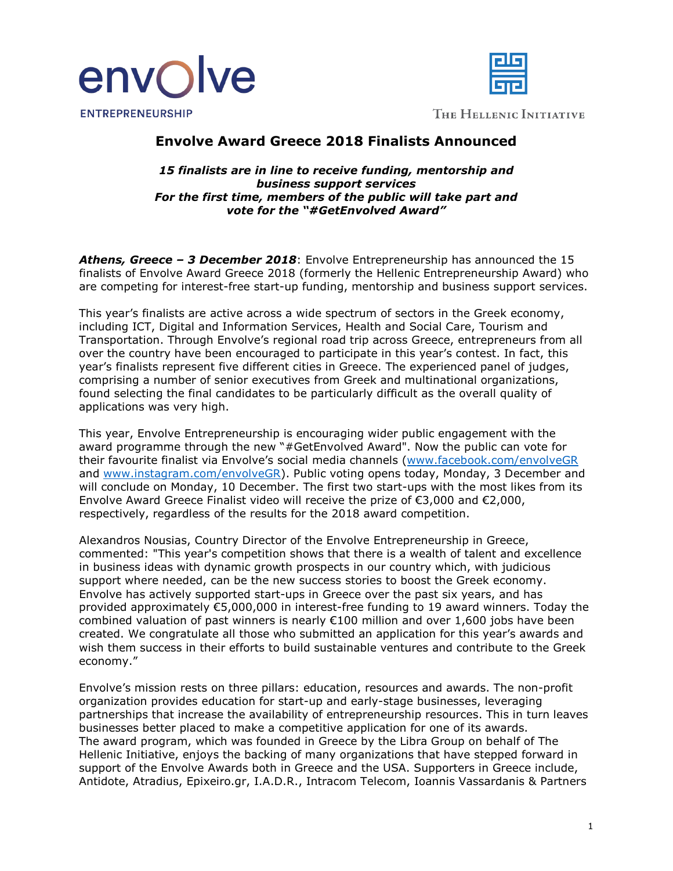



THE HELLENIC INITIATIVE

## **Envolve Award Greece 2018 Finalists Announced**

*15 finalists are in line to receive funding, mentorship and business support services For the first time, members of the public will take part and vote for the "#GetEnvolved Award"*

*Athens, Greece – 3 December 2018*: Envolve Entrepreneurship has announced the 15 finalists of Envolve Award Greece 2018 (formerly the Hellenic Entrepreneurship Award) who are competing for interest-free start-up funding, mentorship and business support services.

This year's finalists are active across a wide spectrum of sectors in the Greek economy, including ICT, Digital and Information Services, Health and Social Care, Tourism and Transportation. Through Envolve's regional road trip across Greece, entrepreneurs from all over the country have been encouraged to participate in this year's contest. In fact, this year's finalists represent five different cities in Greece. The experienced panel of judges, comprising a number of senior executives from Greek and multinational organizations, found selecting the final candidates to be particularly difficult as the overall quality of applications was very high.

This year, Envolve Entrepreneurship is encouraging wider public engagement with the award programme through the new "#GetEnvolved Award". Now the public can vote for their favourite finalist via Envolve's social media channels [\(www.facebook.com/envolveGR](http://www.facebook.com/envolveGR) and [www.instagram.com/envolveGR\)](http://www.instagram.com/envolveGR). Public voting opens today, Monday, 3 December and will conclude on Monday, 10 December. The first two start-ups with the most likes from its Envolve Award Greece Finalist video will receive the prize of €3,000 and €2,000, respectively, regardless of the results for the 2018 award competition.

Alexandros Nousias, Country Director of the Envolve Entrepreneurship in Greece, commented: "This year's competition shows that there is a wealth of talent and excellence in business ideas with dynamic growth prospects in our country which, with judicious support where needed, can be the new success stories to boost the Greek economy. Envolve has actively supported start-ups in Greece over the past six years, and has provided approximately €5,000,000 in interest-free funding to 19 award winners. Today the combined valuation of past winners is nearly €100 million and over 1,600 jobs have been created. We congratulate all those who submitted an application for this year's awards and wish them success in their efforts to build sustainable ventures and contribute to the Greek economy."

Envolve's mission rests on three pillars: education, resources and awards. The non-profit organization provides education for start-up and early-stage businesses, leveraging partnerships that increase the availability of entrepreneurship resources. This in turn leaves businesses better placed to make a competitive application for one of its awards. The award program, which was founded in Greece by the Libra Group on behalf of The Hellenic Initiative, enjoys the backing of many organizations that have stepped forward in support of the Envolve Awards both in Greece and the USA. Supporters in Greece include, Antidote, Atradius, Epixeiro.gr, I.A.D.R., Intracom Telecom, Ioannis Vassardanis & Partners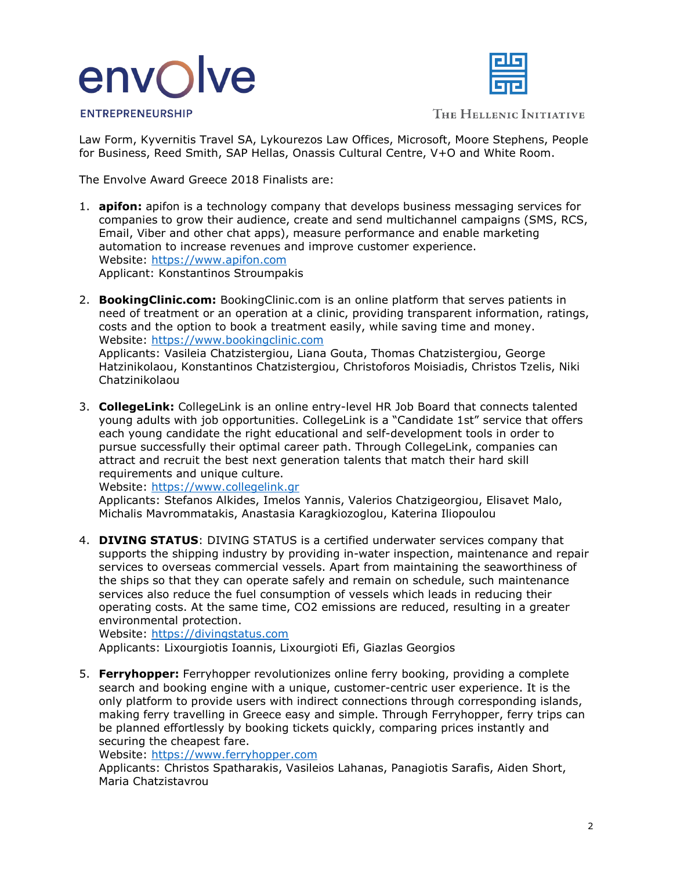# envolve



**ENTREPRENEURSHIP** 

THE HELLENIC INITIATIVE

Law Form, Kyvernitis Travel SA, Lykourezos Law Offices, Microsoft, Moore Stephens, People for Business, Reed Smith, SAP Hellas, Onassis Cultural Centre, V+O and White Room.

The Envolve Award Greece 2018 Finalists are:

- 1. **apifon:** apifon is a technology company that develops business messaging services for companies to grow their audience, create and send multichannel campaigns (SMS, RCS, Email, Viber and other chat apps), measure performance and enable marketing automation to increase revenues and improve customer experience. Website: [https://www.apifon.com](https://www.apifon.com/) Applicant: Konstantinos Stroumpakis
- 2. **BookingClinic.com:** BookingClinic.com is an online platform that serves patients in need of treatment or an operation at a clinic, providing transparent information, ratings, costs and the option to book a treatment easily, while saving time and money. Website: [https://www.bookingclinic.com](https://www.bookingclinic.com/) Applicants: Vasileia Chatzistergiou, Liana Gouta, Thomas Chatzistergiou, George

Hatzinikolaou, Konstantinos Chatzistergiou, Christoforos Moisiadis, Christos Tzelis, Niki Chatzinikolaou

3. **CollegeLink:** CollegeLink is an online entry-level HR Job Board that connects talented young adults with job opportunities. CollegeLink is a "Candidate 1st" service that offers each young candidate the right educational and self-development tools in order to pursue successfully their optimal career path. Through CollegeLink, companies can attract and recruit the best next generation talents that match their hard skill requirements and unique culture.

Website: [https://www.collegelink.gr](https://www.collegelink.gr/)

Applicants: Stefanos Alkides, Imelos Yannis, Valerios Chatzigeorgiou, Elisavet Malo, Michalis Mavrommatakis, Anastasia Karagkiozoglou, Katerina Iliopoulou

4. **DIVING STATUS**: DIVING STATUS is a certified underwater services company that supports the shipping industry by providing in-water inspection, maintenance and repair services to overseas commercial vessels. Apart from maintaining the seaworthiness of the ships so that they can operate safely and remain on schedule, such maintenance services also reduce the fuel consumption of vessels which leads in reducing their operating costs. At the same time, CO2 emissions are reduced, resulting in a greater environmental protection.

Website: [https://divingstatus.com](https://divingstatus.com/) Applicants: Lixourgiotis Ioannis, Lixourgioti Efi, Giazlas Georgios

5. **Ferryhopper:** Ferryhopper revolutionizes online ferry booking, providing a complete search and booking engine with a unique, customer-centric user experience. It is the only platform to provide users with indirect connections through corresponding islands, making ferry travelling in Greece easy and simple. Through Ferryhopper, ferry trips can be planned effortlessly by booking tickets quickly, comparing prices instantly and securing the cheapest fare.

Website: [https://www.ferryhopper.com](https://www.ferryhopper.com/)

Applicants: Christos Spatharakis, Vasileios Lahanas, Panagiotis Sarafis, Aiden Short, Maria Chatzistavrou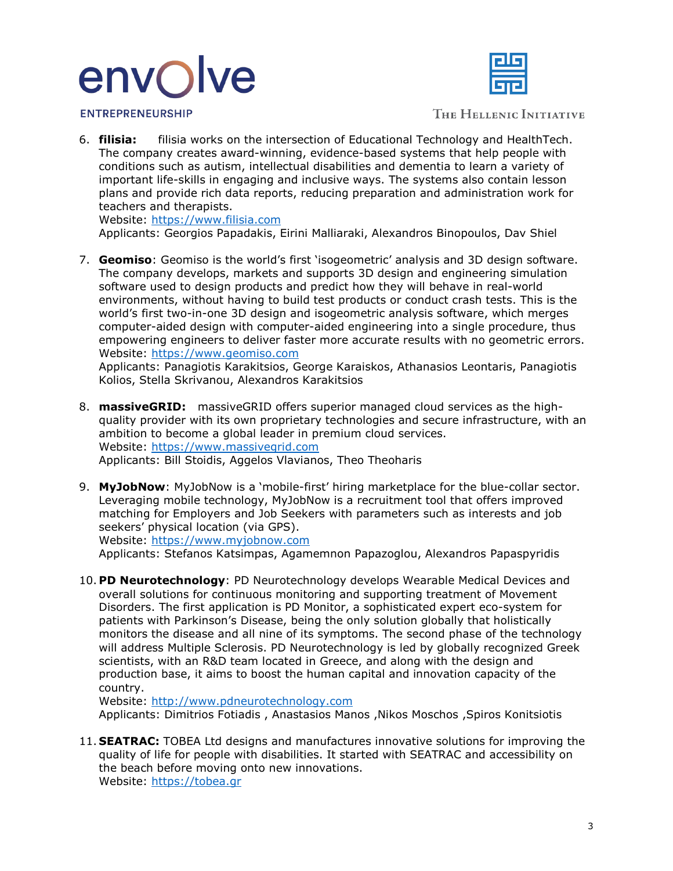# envolve



**ENTREPRENEURSHIP** 

THE HELLENIC INITIATIVE

6. **filisia:** filisia works on the intersection of Educational Technology and HealthTech. The company creates award-winning, evidence-based systems that help people with conditions such as autism, intellectual disabilities and dementia to learn a variety of important life-skills in engaging and inclusive ways. The systems also contain lesson plans and provide rich data reports, reducing preparation and administration work for teachers and therapists.

Website: [https://www.filisia.com](https://www.filisia.com/)

Applicants: Georgios Papadakis, Eirini Malliaraki, Alexandros Binopoulos, Dav Shiel

7. **Geomiso**: Geomiso is the world's first 'isogeometric' analysis and 3D design software. The company develops, markets and supports 3D design and engineering simulation software used to design products and predict how they will behave in real-world environments, without having to build test products or conduct crash tests. This is the world's first two-in-one 3D design and isogeometric analysis software, which merges computer-aided design with computer-aided engineering into a single procedure, thus empowering engineers to deliver faster more accurate results with no geometric errors. Website: [https://www.geomiso.com](https://www.geomiso.com/)

Applicants: Panagiotis Karakitsios, George Karaiskos, Athanasios Leontaris, Panagiotis Kolios, Stella Skrivanou, Alexandros Karakitsios

- 8. **massiveGRID:** massiveGRID offers superior managed cloud services as the highquality provider with its own proprietary technologies and secure infrastructure, with an ambition to become a global leader in premium cloud services. Website: [https://www.massivegrid.com](https://www.massivegrid.com/) Applicants: Bill Stoidis, Aggelos Vlavianos, Theo Theoharis
- 9. **MyJobNow**: MyJobNow is a 'mobile-first' hiring marketplace for the blue-collar sector. Leveraging mobile technology, MyJobNow is a recruitment tool that offers improved matching for Employers and Job Seekers with parameters such as interests and job seekers' physical location (via GPS). Website: [https://www.myjobnow.com](https://www.myjobnow.com/)

Applicants: Stefanos Katsimpas, Agamemnon Papazoglou, Alexandros Papaspyridis

10. **PD Neurotechnology**: PD Neurotechnology develops Wearable Medical Devices and overall solutions for continuous monitoring and supporting treatment of Movement Disorders. The first application is PD Monitor, a sophisticated expert eco-system for patients with Parkinson's Disease, being the only solution globally that holistically monitors the disease and all nine of its symptoms. The second phase of the technology will address Multiple Sclerosis. PD Neurotechnology is led by globally recognized Greek scientists, with an R&D team located in Greece, and along with the design and production base, it aims to boost the human capital and innovation capacity of the country.

Website: [http://www.pdneurotechnology.com](http://www.pdneurotechnology.com/)

Applicants: Dimitrios Fotiadis , Anastasios Manos ,Nikos Moschos ,Spiros Konitsiotis

11. **SEATRAC:** TOBEA Ltd designs and manufactures innovative solutions for improving the quality of life for people with disabilities. It started with SEATRAC and accessibility on the beach before moving onto new innovations. Website: [https://tobea.gr](https://tobea.gr/)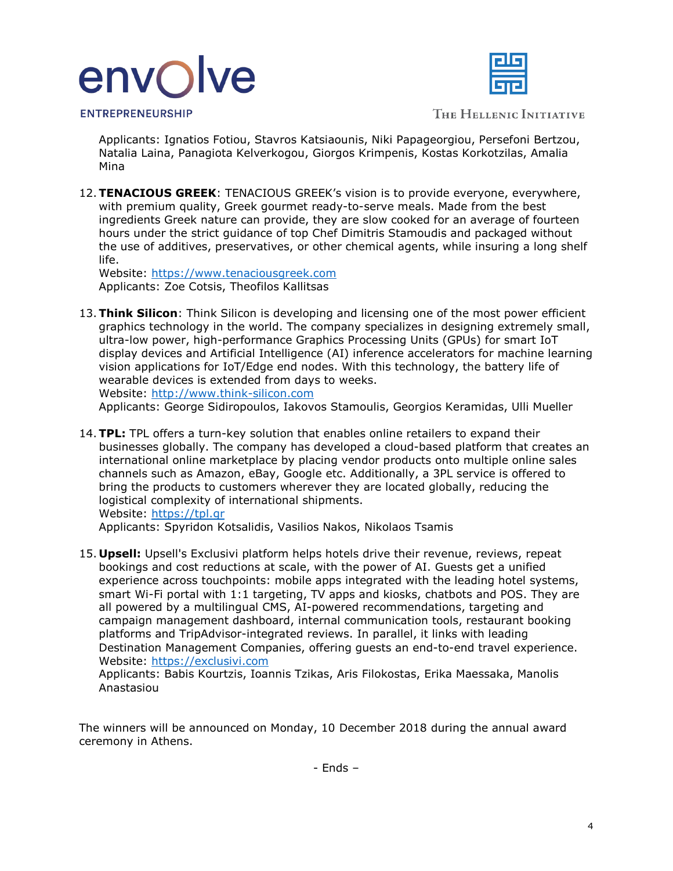



**ENTREPRENEURSHIP** 

THE HELLENIC INITIATIVE

Applicants: Ignatios Fotiou, Stavros Katsiaounis, Niki Papageorgiou, Persefoni Bertzou, Natalia Laina, Panagiota Kelverkogou, Giorgos Krimpenis, Kostas Korkotzilas, Amalia Mina

12.**TENACIOUS GREEK**: TENACIOUS GREEK's vision is to provide everyone, everywhere, with premium quality, Greek gourmet ready-to-serve meals. Made from the best ingredients Greek nature can provide, they are slow cooked for an average of fourteen hours under the strict guidance of top Chef Dimitris Stamoudis and packaged without the use of additives, preservatives, or other chemical agents, while insuring a long shelf life.

Website: [https://www.tenaciousgreek.com](https://www.tenaciousgreek.com/) Applicants: Zoe Cotsis, Theofilos Kallitsas

13.**Think Silicon**: Think Silicon is developing and licensing one of the most power efficient graphics technology in the world. The company specializes in designing extremely small, ultra-low power, high-performance Graphics Processing Units (GPUs) for smart IoT display devices and Artificial Intelligence (AI) inference accelerators for machine learning vision applications for IoT/Edge end nodes. With this technology, the battery life of wearable devices is extended from days to weeks. Website: [http://www.think-silicon.com](http://www.think-silicon.com/) 

Applicants: George Sidiropoulos, Iakovos Stamoulis, Georgios Keramidas, Ulli Mueller

14.**TPL:** TPL offers a turn-key solution that enables online retailers to expand their businesses globally. The company has developed a cloud-based platform that creates an international online marketplace by placing vendor products onto multiple online sales channels such as Amazon, eBay, Google etc. Additionally, a 3PL service is offered to bring the products to customers wherever they are located globally, reducing the logistical complexity of international shipments. Website: [https://tpl.gr](https://tpl.gr/)

Applicants: Spyridon Kotsalidis, Vasilios Nakos, Nikolaos Tsamis

15. **Upsell:** Upsell's Exclusivi platform helps hotels drive their revenue, reviews, repeat bookings and cost reductions at scale, with the power of AI. Guests get a unified experience across touchpoints: mobile apps integrated with the leading hotel systems, smart Wi-Fi portal with 1:1 targeting, TV apps and kiosks, chatbots and POS. They are all powered by a multilingual CMS, AI-powered recommendations, targeting and campaign management dashboard, internal communication tools, restaurant booking platforms and TripAdvisor-integrated reviews. In parallel, it links with leading Destination Management Companies, offering guests an end-to-end travel experience. Website: [https://exclusivi.com](https://exclusivi.com/)

Applicants: Babis Kourtzis, Ioannis Tzikas, Aris Filokostas, Erika Maessaka, Manolis Anastasiou

The winners will be announced on Monday, 10 December 2018 during the annual award ceremony in Athens.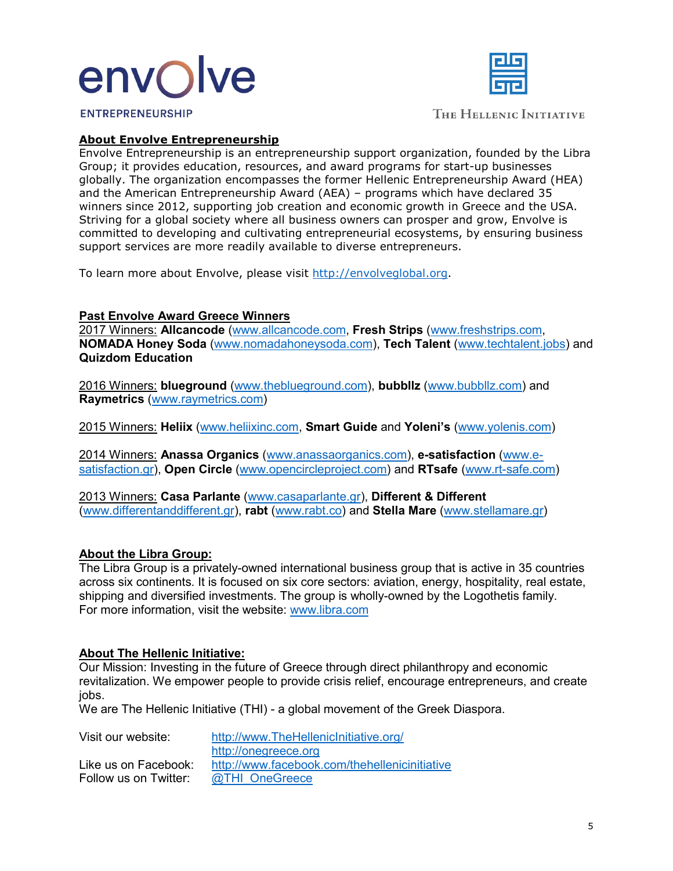



**ENTREPRENEURSHIP** 

THE HELLENIC INITIATIVE

### **About Envolve Entrepreneurship**

Envolve Entrepreneurship is an entrepreneurship support organization, founded by the Libra Group; it provides education, resources, and award programs for start-up businesses globally. The organization encompasses the former Hellenic Entrepreneurship Award (HEA) and the American Entrepreneurship Award (AEA) – programs which have declared 35 winners since 2012, supporting job creation and economic growth in Greece and the USA. Striving for a global society where all business owners can prosper and grow, Envolve is committed to developing and cultivating entrepreneurial ecosystems, by ensuring business support services are more readily available to diverse entrepreneurs.

To learn more about Envolve, please visit [http://envolveglobal.org.](http://envolveglobal.org/)

#### **Past Envolve Award Greece Winners**

2017 Winners: **Allcancode** [\(www.allcancode.com,](http://www.allcancode.com/) **Fresh Strips** [\(www.freshstrips.com,](http://www.freshstrips.com/) **NOMADA Honey Soda** [\(www.nomadahoneysoda.com\)](http://www.nomadahoneysoda.com/), **Tech Talent** [\(www.techtalent.jobs\)](http://www.techtalent.jobs/) and **Quizdom Education**

2016 Winners: **blueground** [\(www.theblueground.com\)](http://www.theblueground.com/), **bubbllz** [\(www.bubbllz.com\)](http://www.bubbllz.com/) and **Raymetrics** [\(www.raymetrics.com\)](http://www.raymetrics.com/)

2015 Winners: **Heliix** [\(www.heliixinc.com,](http://www.heliixinc.com/) **Smart Guide** and **Yoleni's** [\(www.yolenis.com\)](http://www.yolenis.com/)

2014 Winners: **Anassa Organics** [\(www.anassaorganics.com\)](http://www.anassaorganics.com/), **e-satisfaction** [\(www.e](http://www.e-satisfaction.gr/)[satisfaction.gr\)](http://www.e-satisfaction.gr/), **Open Circle** [\(www.opencircleproject.com\)](http://www.opencircleproject.com/) and **RTsafe** [\(www.rt-safe.com\)](http://www.rt-safe.com/)

2013 Winners: **Casa Parlante** [\(www.casaparlante.gr\)](http://www.casaparlante.gr/), **Different & Different**  [\(www.differentanddifferent.gr\)](http://www.differentanddifferent.gr/), **rabt** [\(www.rabt.co\)](http://www.rabt.co/) and **Stella Mare** [\(www.stellamare.gr\)](http://www.stellamare.gr/)

### **About the Libra Group:**

The Libra Group is a privately-owned international business group that is active in 35 countries across six continents. It is focused on six core sectors: aviation, energy, hospitality, real estate, shipping and diversified investments. The group is wholly-owned by the Logothetis family. For more information, visit the website: [www.libra.com](http://www.libra.com/)

#### **About The Hellenic Initiative:**

Our Mission: Investing in the future of Greece through direct philanthropy and economic revitalization. We empower people to provide crisis relief, encourage entrepreneurs, and create jobs.

We are The Hellenic Initiative (THI) - a global movement of the Greek Diaspora.

| Visit our website:    | http://www.TheHellenicInitiative.org/         |
|-----------------------|-----------------------------------------------|
|                       | http://onegreece.org                          |
| Like us on Facebook:  | http://www.facebook.com/thehellenicinitiative |
| Follow us on Twitter: | @THI OneGreece                                |